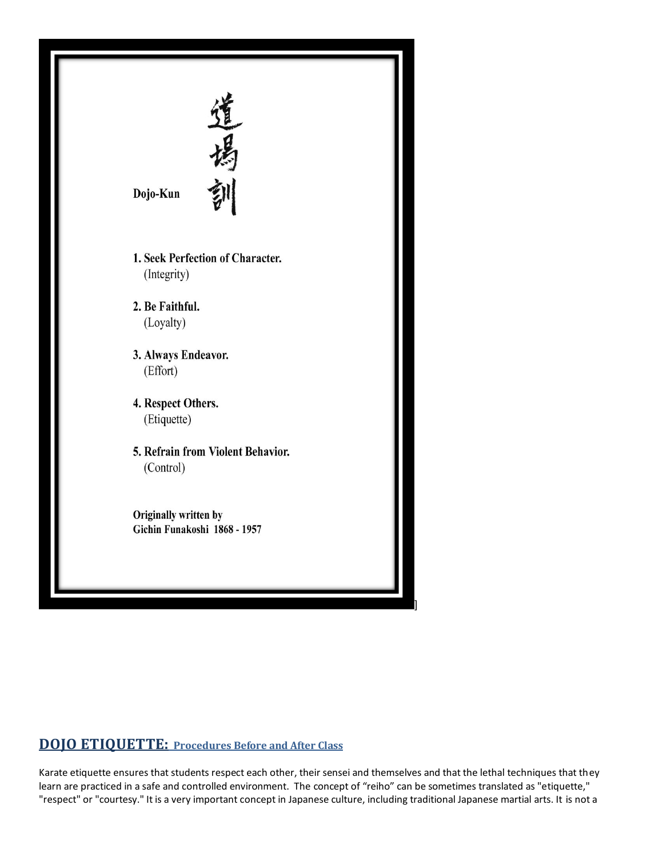

## **DOJO ETIQUETTE: Procedures Before and After Class**

Karate etiquette ensures that students respect each other, their sensei and themselves and that the lethal techniques that they learn are practiced in a safe and controlled environment. The concept of "reiho" can be sometimes translated as "etiquette," "respect" or "courtesy." It is a very important concept in Japanese culture, including traditional Japanese martial arts. It is not a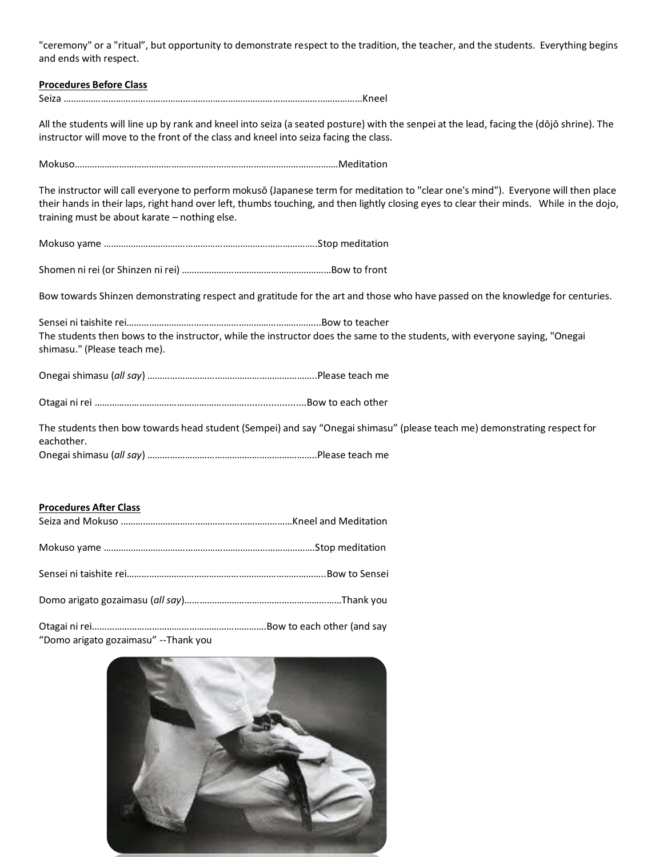"ceremony" or a "ritual", but opportunity to demonstrate respect to the tradition, the teacher, and the students. Everything begins and ends with respect.

## **Procedures Before Class** Seiza …………………………………………………………………………………………………………Kneel All the students will line up by rank and kneel into seiza (a seated posture) with the senpei at the lead, facing the (dōjō shrine). The instructor will move to the front of the class and kneel into seiza facing the class. Mokuso…………………………………………………………………………………………….Meditation The instructor will call everyone to perform mokusō (Japanese term for meditation to "clear one's mind"). Everyone will then place their hands in their laps, right hand over left, thumbs touching, and then lightly closing eyes to clear their minds. While in the dojo, training must be about karate – nothing else. Mokuso yame …………………………………………………………………………..Stop meditation Shomen ni rei (or Shinzen ni rei) ……………………………………………………Bow to front Bow towards Shinzen demonstrating respect and gratitude for the art and those who have passed on the knowledge for centuries. Sensei ni taishite rei…………………………………………………………………...Bow to teacher The students then bows to the instructor, while the instructor does the same to the students, with everyone saying, "Onegai shimasu." (Please teach me). Onegai shimasu (*all say*) …………………………………………………………..Please teach me Otagai ni rei …………………………………………………….......................Bow to each other

The students then bow towards head student (Sempei) and say "Onegai shimasu" (please teach me) demonstrating respect for eachother. Onegai shimasu (*all say*) …………………………………………………………..Please teach me

## **Procedures After Class**

| THORCANICS MILLI CIUSS |  |
|------------------------|--|
|                        |  |
|                        |  |
|                        |  |
|                        |  |
|                        |  |

"Domo arigato gozaimasu" --Thank you